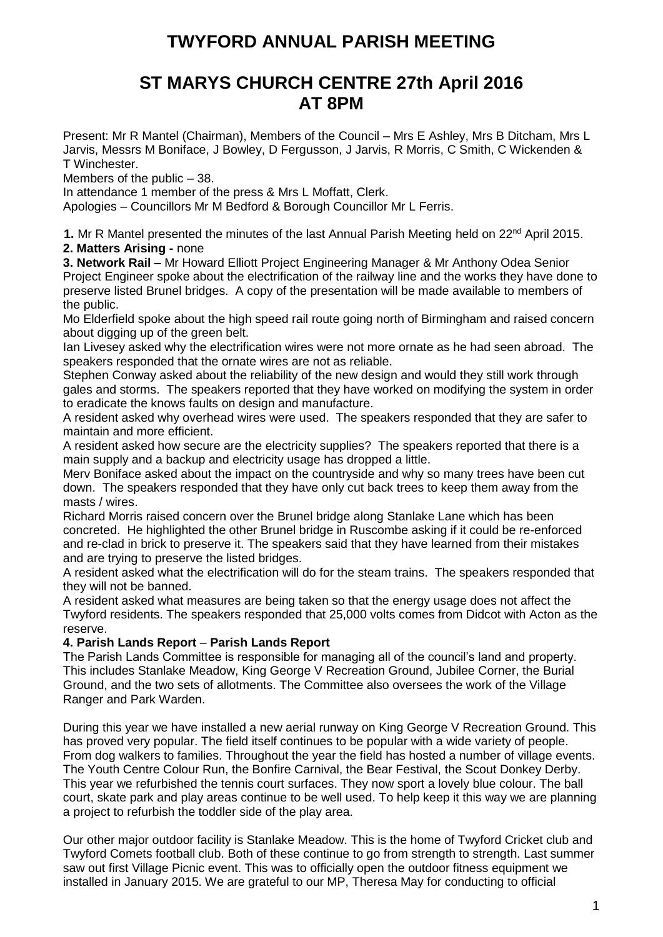# **TWYFORD ANNUAL PARISH MEETING**

## **ST MARYS CHURCH CENTRE 27th April 2016 AT 8PM**

Present: Mr R Mantel (Chairman), Members of the Council – Mrs E Ashley, Mrs B Ditcham, Mrs L Jarvis, Messrs M Boniface, J Bowley, D Fergusson, J Jarvis, R Morris, C Smith, C Wickenden & T Winchester.

Members of the public – 38.

In attendance 1 member of the press & Mrs L Moffatt, Clerk.

Apologies – Councillors Mr M Bedford & Borough Councillor Mr L Ferris.

**1.** Mr R Mantel presented the minutes of the last Annual Parish Meeting held on 22<sup>nd</sup> April 2015. **2. Matters Arising -** none

**3. Network Rail –** Mr Howard Elliott Project Engineering Manager & Mr Anthony Odea Senior Project Engineer spoke about the electrification of the railway line and the works they have done to preserve listed Brunel bridges. A copy of the presentation will be made available to members of the public.

Mo Elderfield spoke about the high speed rail route going north of Birmingham and raised concern about digging up of the green belt.

Ian Livesey asked why the electrification wires were not more ornate as he had seen abroad. The speakers responded that the ornate wires are not as reliable.

Stephen Conway asked about the reliability of the new design and would they still work through gales and storms. The speakers reported that they have worked on modifying the system in order to eradicate the knows faults on design and manufacture.

A resident asked why overhead wires were used. The speakers responded that they are safer to maintain and more efficient.

A resident asked how secure are the electricity supplies? The speakers reported that there is a main supply and a backup and electricity usage has dropped a little.

Merv Boniface asked about the impact on the countryside and why so many trees have been cut down. The speakers responded that they have only cut back trees to keep them away from the masts / wires.

Richard Morris raised concern over the Brunel bridge along Stanlake Lane which has been concreted. He highlighted the other Brunel bridge in Ruscombe asking if it could be re-enforced and re-clad in brick to preserve it. The speakers said that they have learned from their mistakes and are trying to preserve the listed bridges.

A resident asked what the electrification will do for the steam trains. The speakers responded that they will not be banned.

A resident asked what measures are being taken so that the energy usage does not affect the Twyford residents. The speakers responded that 25,000 volts comes from Didcot with Acton as the reserve.

## **4. Parish Lands Report** – **Parish Lands Report**

The Parish Lands Committee is responsible for managing all of the council's land and property. This includes Stanlake Meadow, King George V Recreation Ground, Jubilee Corner, the Burial Ground, and the two sets of allotments. The Committee also oversees the work of the Village Ranger and Park Warden.

During this year we have installed a new aerial runway on King George V Recreation Ground. This has proved very popular. The field itself continues to be popular with a wide variety of people. From dog walkers to families. Throughout the year the field has hosted a number of village events. The Youth Centre Colour Run, the Bonfire Carnival, the Bear Festival, the Scout Donkey Derby. This year we refurbished the tennis court surfaces. They now sport a lovely blue colour. The ball court, skate park and play areas continue to be well used. To help keep it this way we are planning a project to refurbish the toddler side of the play area.

Our other major outdoor facility is Stanlake Meadow. This is the home of Twyford Cricket club and Twyford Comets football club. Both of these continue to go from strength to strength. Last summer saw out first Village Picnic event. This was to officially open the outdoor fitness equipment we installed in January 2015. We are grateful to our MP, Theresa May for conducting to official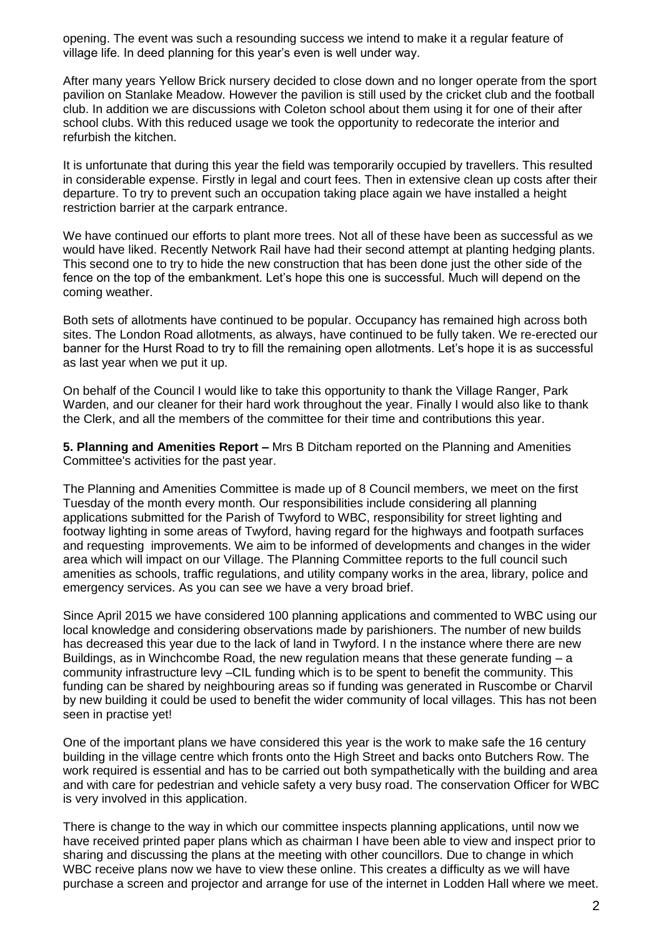opening. The event was such a resounding success we intend to make it a regular feature of village life. In deed planning for this year's even is well under way.

After many years Yellow Brick nursery decided to close down and no longer operate from the sport pavilion on Stanlake Meadow. However the pavilion is still used by the cricket club and the football club. In addition we are discussions with Coleton school about them using it for one of their after school clubs. With this reduced usage we took the opportunity to redecorate the interior and refurbish the kitchen.

It is unfortunate that during this year the field was temporarily occupied by travellers. This resulted in considerable expense. Firstly in legal and court fees. Then in extensive clean up costs after their departure. To try to prevent such an occupation taking place again we have installed a height restriction barrier at the carpark entrance.

We have continued our efforts to plant more trees. Not all of these have been as successful as we would have liked. Recently Network Rail have had their second attempt at planting hedging plants. This second one to try to hide the new construction that has been done just the other side of the fence on the top of the embankment. Let's hope this one is successful. Much will depend on the coming weather.

Both sets of allotments have continued to be popular. Occupancy has remained high across both sites. The London Road allotments, as always, have continued to be fully taken. We re-erected our banner for the Hurst Road to try to fill the remaining open allotments. Let's hope it is as successful as last year when we put it up.

On behalf of the Council I would like to take this opportunity to thank the Village Ranger, Park Warden, and our cleaner for their hard work throughout the year. Finally I would also like to thank the Clerk, and all the members of the committee for their time and contributions this year.

**5. Planning and Amenities Report –** Mrs B Ditcham reported on the Planning and Amenities Committee's activities for the past year.

The Planning and Amenities Committee is made up of 8 Council members, we meet on the first Tuesday of the month every month. Our responsibilities include considering all planning applications submitted for the Parish of Twyford to WBC, responsibility for street lighting and footway lighting in some areas of Twyford, having regard for the highways and footpath surfaces and requesting improvements. We aim to be informed of developments and changes in the wider area which will impact on our Village. The Planning Committee reports to the full council such amenities as schools, traffic regulations, and utility company works in the area, library, police and emergency services. As you can see we have a very broad brief.

Since April 2015 we have considered 100 planning applications and commented to WBC using our local knowledge and considering observations made by parishioners. The number of new builds has decreased this year due to the lack of land in Twyford. I n the instance where there are new Buildings, as in Winchcombe Road, the new regulation means that these generate funding  $-$  a community infrastructure levy –CIL funding which is to be spent to benefit the community. This funding can be shared by neighbouring areas so if funding was generated in Ruscombe or Charvil by new building it could be used to benefit the wider community of local villages. This has not been seen in practise yet!

One of the important plans we have considered this year is the work to make safe the 16 century building in the village centre which fronts onto the High Street and backs onto Butchers Row. The work required is essential and has to be carried out both sympathetically with the building and area and with care for pedestrian and vehicle safety a very busy road. The conservation Officer for WBC is very involved in this application.

There is change to the way in which our committee inspects planning applications, until now we have received printed paper plans which as chairman I have been able to view and inspect prior to sharing and discussing the plans at the meeting with other councillors. Due to change in which WBC receive plans now we have to view these online. This creates a difficulty as we will have purchase a screen and projector and arrange for use of the internet in Lodden Hall where we meet.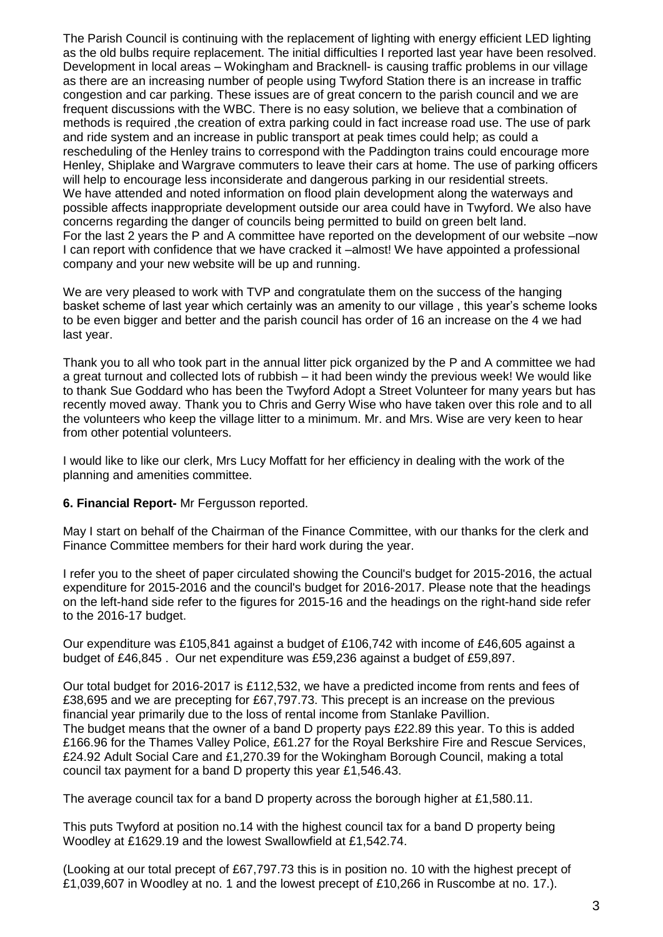The Parish Council is continuing with the replacement of lighting with energy efficient LED lighting as the old bulbs require replacement. The initial difficulties I reported last year have been resolved. Development in local areas – Wokingham and Bracknell- is causing traffic problems in our village as there are an increasing number of people using Twyford Station there is an increase in traffic congestion and car parking. These issues are of great concern to the parish council and we are frequent discussions with the WBC. There is no easy solution, we believe that a combination of methods is required ,the creation of extra parking could in fact increase road use. The use of park and ride system and an increase in public transport at peak times could help; as could a rescheduling of the Henley trains to correspond with the Paddington trains could encourage more Henley, Shiplake and Wargrave commuters to leave their cars at home. The use of parking officers will help to encourage less inconsiderate and dangerous parking in our residential streets. We have attended and noted information on flood plain development along the waterways and possible affects inappropriate development outside our area could have in Twyford. We also have concerns regarding the danger of councils being permitted to build on green belt land. For the last 2 years the P and A committee have reported on the development of our website –now I can report with confidence that we have cracked it –almost! We have appointed a professional company and your new website will be up and running.

We are very pleased to work with TVP and congratulate them on the success of the hanging basket scheme of last year which certainly was an amenity to our village , this year's scheme looks to be even bigger and better and the parish council has order of 16 an increase on the 4 we had last year.

Thank you to all who took part in the annual litter pick organized by the P and A committee we had a great turnout and collected lots of rubbish – it had been windy the previous week! We would like to thank Sue Goddard who has been the Twyford Adopt a Street Volunteer for many years but has recently moved away. Thank you to Chris and Gerry Wise who have taken over this role and to all the volunteers who keep the village litter to a minimum. Mr. and Mrs. Wise are very keen to hear from other potential volunteers.

I would like to like our clerk, Mrs Lucy Moffatt for her efficiency in dealing with the work of the planning and amenities committee.

## **6. Financial Report-** Mr Fergusson reported.

May I start on behalf of the Chairman of the Finance Committee, with our thanks for the clerk and Finance Committee members for their hard work during the year.

I refer you to the sheet of paper circulated showing the Council's budget for 2015-2016, the actual expenditure for 2015-2016 and the council's budget for 2016-2017. Please note that the headings on the left-hand side refer to the figures for 2015-16 and the headings on the right-hand side refer to the 2016-17 budget.

Our expenditure was £105,841 against a budget of £106,742 with income of £46,605 against a budget of £46,845 . Our net expenditure was £59,236 against a budget of £59,897.

Our total budget for 2016-2017 is £112,532, we have a predicted income from rents and fees of £38,695 and we are precepting for £67,797.73. This precept is an increase on the previous financial year primarily due to the loss of rental income from Stanlake Pavillion. The budget means that the owner of a band D property pays £22.89 this year. To this is added £166.96 for the Thames Valley Police, £61.27 for the Royal Berkshire Fire and Rescue Services, £24.92 Adult Social Care and £1,270.39 for the Wokingham Borough Council, making a total council tax payment for a band D property this year £1,546.43.

The average council tax for a band D property across the borough higher at £1,580.11.

This puts Twyford at position no.14 with the highest council tax for a band D property being Woodley at £1629.19 and the lowest Swallowfield at £1,542.74.

(Looking at our total precept of £67,797.73 this is in position no. 10 with the highest precept of £1,039,607 in Woodley at no. 1 and the lowest precept of £10,266 in Ruscombe at no. 17.).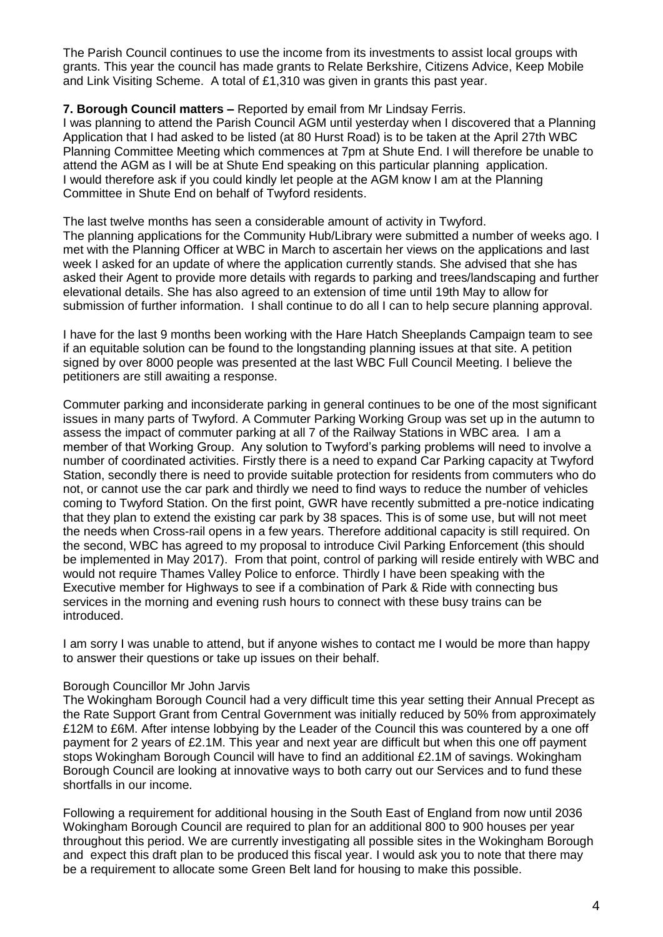The Parish Council continues to use the income from its investments to assist local groups with grants. This year the council has made grants to Relate Berkshire, Citizens Advice, Keep Mobile and Link Visiting Scheme. A total of £1,310 was given in grants this past year.

## **7. Borough Council matters –** Reported by email from Mr Lindsay Ferris.

I was planning to attend the Parish Council AGM until yesterday when I discovered that a Planning Application that I had asked to be listed (at 80 Hurst Road) is to be taken at the April 27th WBC Planning Committee Meeting which commences at 7pm at Shute End. I will therefore be unable to attend the AGM as I will be at Shute End speaking on this particular planning application. I would therefore ask if you could kindly let people at the AGM know I am at the Planning Committee in Shute End on behalf of Twyford residents.

The last twelve months has seen a considerable amount of activity in Twyford. The planning applications for the Community Hub/Library were submitted a number of weeks ago. I met with the Planning Officer at WBC in March to ascertain her views on the applications and last week I asked for an update of where the application currently stands. She advised that she has asked their Agent to provide more details with regards to parking and trees/landscaping and further elevational details. She has also agreed to an extension of time until 19th May to allow for submission of further information. I shall continue to do all I can to help secure planning approval.

I have for the last 9 months been working with the Hare Hatch Sheeplands Campaign team to see if an equitable solution can be found to the longstanding planning issues at that site. A petition signed by over 8000 people was presented at the last WBC Full Council Meeting. I believe the petitioners are still awaiting a response.

Commuter parking and inconsiderate parking in general continues to be one of the most significant issues in many parts of Twyford. A Commuter Parking Working Group was set up in the autumn to assess the impact of commuter parking at all 7 of the Railway Stations in WBC area. I am a member of that Working Group. Any solution to Twyford's parking problems will need to involve a number of coordinated activities. Firstly there is a need to expand Car Parking capacity at Twyford Station, secondly there is need to provide suitable protection for residents from commuters who do not, or cannot use the car park and thirdly we need to find ways to reduce the number of vehicles coming to Twyford Station. On the first point, GWR have recently submitted a pre-notice indicating that they plan to extend the existing car park by 38 spaces. This is of some use, but will not meet the needs when Cross-rail opens in a few years. Therefore additional capacity is still required. On the second, WBC has agreed to my proposal to introduce Civil Parking Enforcement (this should be implemented in May 2017). From that point, control of parking will reside entirely with WBC and would not require Thames Valley Police to enforce. Thirdly I have been speaking with the Executive member for Highways to see if a combination of Park & Ride with connecting bus services in the morning and evening rush hours to connect with these busy trains can be introduced.

I am sorry I was unable to attend, but if anyone wishes to contact me I would be more than happy to answer their questions or take up issues on their behalf.

## Borough Councillor Mr John Jarvis

The Wokingham Borough Council had a very difficult time this year setting their Annual Precept as the Rate Support Grant from Central Government was initially reduced by 50% from approximately £12M to £6M. After intense lobbying by the Leader of the Council this was countered by a one off payment for 2 years of £2.1M. This year and next year are difficult but when this one off payment stops Wokingham Borough Council will have to find an additional £2.1M of savings. Wokingham Borough Council are looking at innovative ways to both carry out our Services and to fund these shortfalls in our income.

Following a requirement for additional housing in the South East of England from now until 2036 Wokingham Borough Council are required to plan for an additional 800 to 900 houses per year throughout this period. We are currently investigating all possible sites in the Wokingham Borough and expect this draft plan to be produced this fiscal year. I would ask you to note that there may be a requirement to allocate some Green Belt land for housing to make this possible.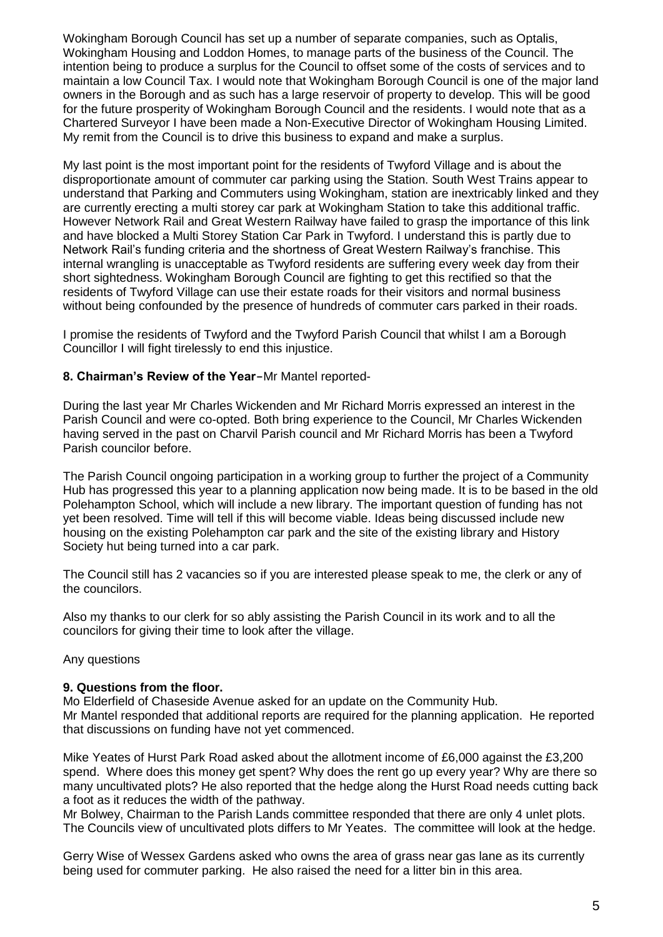Wokingham Borough Council has set up a number of separate companies, such as Optalis, Wokingham Housing and Loddon Homes, to manage parts of the business of the Council. The intention being to produce a surplus for the Council to offset some of the costs of services and to maintain a low Council Tax. I would note that Wokingham Borough Council is one of the major land owners in the Borough and as such has a large reservoir of property to develop. This will be good for the future prosperity of Wokingham Borough Council and the residents. I would note that as a Chartered Surveyor I have been made a Non-Executive Director of Wokingham Housing Limited. My remit from the Council is to drive this business to expand and make a surplus.

My last point is the most important point for the residents of Twyford Village and is about the disproportionate amount of commuter car parking using the Station. South West Trains appear to understand that Parking and Commuters using Wokingham, station are inextricably linked and they are currently erecting a multi storey car park at Wokingham Station to take this additional traffic. However Network Rail and Great Western Railway have failed to grasp the importance of this link and have blocked a Multi Storey Station Car Park in Twyford. I understand this is partly due to Network Rail's funding criteria and the shortness of Great Western Railway's franchise. This internal wrangling is unacceptable as Twyford residents are suffering every week day from their short sightedness. Wokingham Borough Council are fighting to get this rectified so that the residents of Twyford Village can use their estate roads for their visitors and normal business without being confounded by the presence of hundreds of commuter cars parked in their roads.

I promise the residents of Twyford and the Twyford Parish Council that whilst I am a Borough Councillor I will fight tirelessly to end this injustice.

## **8. Chairman's Review of the Year-**Mr Mantel reported-

During the last year Mr Charles Wickenden and Mr Richard Morris expressed an interest in the Parish Council and were co-opted. Both bring experience to the Council, Mr Charles Wickenden having served in the past on Charvil Parish council and Mr Richard Morris has been a Twyford Parish councilor before.

The Parish Council ongoing participation in a working group to further the project of a Community Hub has progressed this year to a planning application now being made. It is to be based in the old Polehampton School, which will include a new library. The important question of funding has not yet been resolved. Time will tell if this will become viable. Ideas being discussed include new housing on the existing Polehampton car park and the site of the existing library and History Society hut being turned into a car park.

The Council still has 2 vacancies so if you are interested please speak to me, the clerk or any of the councilors.

Also my thanks to our clerk for so ably assisting the Parish Council in its work and to all the councilors for giving their time to look after the village.

## Any questions

## **9. Questions from the floor.**

Mo Elderfield of Chaseside Avenue asked for an update on the Community Hub. Mr Mantel responded that additional reports are required for the planning application. He reported that discussions on funding have not yet commenced.

Mike Yeates of Hurst Park Road asked about the allotment income of £6,000 against the £3,200 spend. Where does this money get spent? Why does the rent go up every year? Why are there so many uncultivated plots? He also reported that the hedge along the Hurst Road needs cutting back a foot as it reduces the width of the pathway.

Mr Bolwey, Chairman to the Parish Lands committee responded that there are only 4 unlet plots. The Councils view of uncultivated plots differs to Mr Yeates. The committee will look at the hedge.

Gerry Wise of Wessex Gardens asked who owns the area of grass near gas lane as its currently being used for commuter parking. He also raised the need for a litter bin in this area.